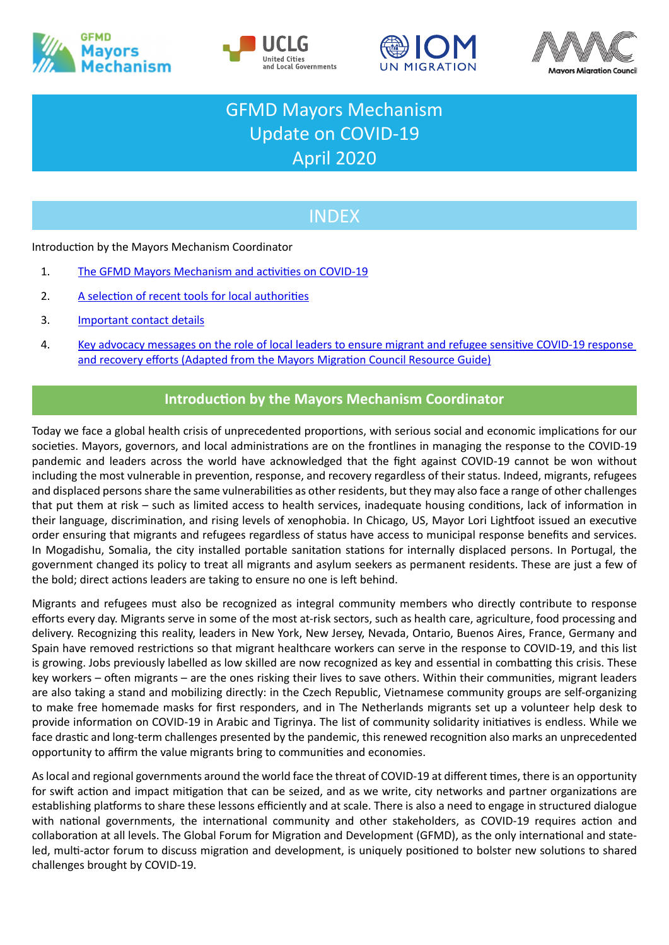







# GFMD Mayors Mechanism Update on COVID-19 April 2020

## **INDEX**

Introduction by the Mayors Mechanism Coordinator

- 1. [The GFMD Mayors Mechanism and activities on COVID-19](#page-1-0)
- 2. [A selection of recent tools for local authorities](#page-2-0)
- 3. [Important contact details](#page-3-0)
- 4. [Key advocacy messages on the role of local leaders to ensure migrant and refugee sensitive COVID-19 response](#page-4-0)  [and recovery efforts \(Adapted from the Mayors Migration Council Resource Guide\)](#page-4-0)

## **Introduction by the Mayors Mechanism Coordinator**

Today we face a global health crisis of unprecedented proportions, with serious social and economic implications for our societies. Mayors, governors, and local administrations are on the frontlines in managing the response to the COVID-19 pandemic and leaders across the world have acknowledged that the fight against COVID-19 cannot be won without including the most vulnerable in prevention, response, and recovery regardless of their status. Indeed, migrants, refugees and displaced persons share the same vulnerabilities as other residents, but they may also face a range of other challenges that put them at risk – such as limited access to health services, inadequate housing conditions, lack of information in their language, discrimination, and rising levels of xenophobia. In Chicago, US, Mayor Lori Lightfoot issued an executive order ensuring that migrants and refugees regardless of status have access to municipal response benefits and services. In Mogadishu, Somalia, the city installed portable sanitation stations for internally displaced persons. In Portugal, the government changed its policy to treat all migrants and asylum seekers as permanent residents. These are just a few of the bold; direct actions leaders are taking to ensure no one is left behind.

Migrants and refugees must also be recognized as integral community members who directly contribute to response efforts every day. Migrants serve in some of the most at-risk sectors, such as health care, agriculture, food processing and delivery. Recognizing this reality, leaders in New York, New Jersey, Nevada, Ontario, Buenos Aires, France, Germany and Spain have removed restrictions so that migrant healthcare workers can serve in the response to COVID-19, and this list is growing. Jobs previously labelled as low skilled are now recognized as key and essential in combatting this crisis. These key workers – often migrants – are the ones risking their lives to save others. Within their communities, migrant leaders are also taking a stand and mobilizing directly: in the Czech Republic, Vietnamese community groups are self-organizing to make free homemade masks for first responders, and in The Netherlands migrants set up a volunteer help desk to provide information on COVID-19 in Arabic and Tigrinya. The list of community solidarity initiatives is endless. While we face drastic and long-term challenges presented by the pandemic, this renewed recognition also marks an unprecedented opportunity to affirm the value migrants bring to communities and economies.

As local and regional governments around the world face the threat of COVID-19 at different times, there is an opportunity for swift action and impact mitigation that can be seized, and as we write, city networks and partner organizations are establishing platforms to share these lessons efficiently and at scale. There is also a need to engage in structured dialogue with national governments, the international community and other stakeholders, as COVID-19 requires action and collaboration at all levels. The Global Forum for Migration and Development (GFMD), as the only international and stateled, multi-actor forum to discuss migration and development, is uniquely positioned to bolster new solutions to shared challenges brought by COVID-19.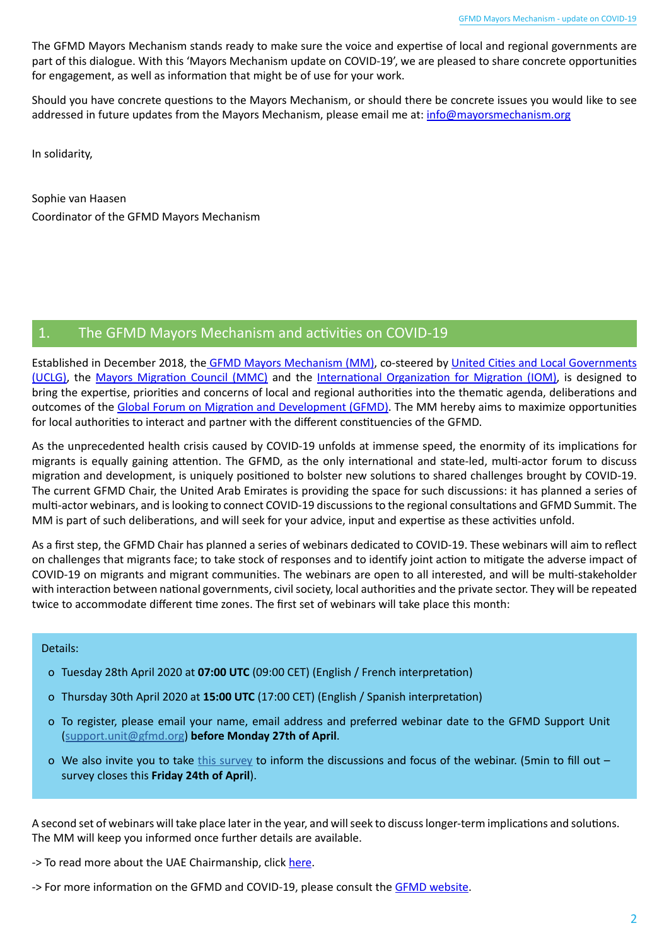The GFMD Mayors Mechanism stands ready to make sure the voice and expertise of local and regional governments are part of this dialogue. With this 'Mayors Mechanism update on COVID-19', we are pleased to share concrete opportunities for engagement, as well as information that might be of use for your work.

Should you have concrete questions to the Mayors Mechanism, or should there be concrete issues you would like to see addressed in future updates from the Mayors Mechanism, please email me at: [info@mayorsmechanism.org](mailto:info%40mayorsmechanism.org?subject=)

In solidarity,

Sophie van Haasen Coordinator of the GFMD Mayors Mechanism

### <span id="page-1-0"></span>1. The GFMD Mayors Mechanism and activities on COVID-19

Established in December 2018, the [GFMD Mayors Mechanism \(MM\)](https://www.gfmd.org/process/gfmd-mayors-mechanism), co-steered by [United Cities and Local Governments](https://www.uclg.org/)  [\(UCLG\)](https://www.uclg.org/), the [Mayors Migration Council \(MMC\)](https://www.mayorsmigrationcouncil.org/) and the [International Organization for Migration \(IOM\)](http://www.iom.int/), is designed to bring the expertise, priorities and concerns of local and regional authorities into the thematic agenda, deliberations and outcomes of the [Global Forum on Migration and Development \(GFMD\).](http://www.gfmd.org/) The MM hereby aims to maximize opportunities for local authorities to interact and partner with the different constituencies of the GFMD.

As the unprecedented health crisis caused by COVID-19 unfolds at immense speed, the enormity of its implications for migrants is equally gaining attention. The GFMD, as the only international and state-led, multi-actor forum to discuss migration and development, is uniquely positioned to bolster new solutions to shared challenges brought by COVID-19. The current GFMD Chair, the United Arab Emirates is providing the space for such discussions: it has planned a series of multi-actor webinars, and is looking to connect COVID-19 discussions to the regional consultations and GFMD Summit. The MM is part of such deliberations, and will seek for your advice, input and expertise as these activities unfold.

As a first step, the GFMD Chair has planned a series of webinars dedicated to COVID-19. These webinars will aim to reflect on challenges that migrants face; to take stock of responses and to identify joint action to mitigate the adverse impact of COVID-19 on migrants and migrant communities. The webinars are open to all interested, and will be multi-stakeholder with interaction between national governments, civil society, local authorities and the private sector. They will be repeated twice to accommodate different time zones. The first set of webinars will take place this month:

#### Details:

- o Tuesday 28th April 2020 at **07:00 UTC** (09:00 CET) (English / French interpretation)
- o Thursday 30th April 2020 at **15:00 UTC** (17:00 CET) (English / Spanish interpretation)
- o To register, please email your name, email address and preferred webinar date to the GFMD Support Unit [\(support.unit@gfmd.org](mailto:mailto:support.unit%40gfmd.org?subject=)) **before Monday 27th of April**.
- o We also invite you to take [this survey](https://www.surveymonkey.com/r/8G95HLC) to inform the discussions and focus of the webinar. (5min to fill out  $$ survey closes this **Friday 24th of April**).

A second set of webinars will take place later in the year, and will seek to discuss longer-term implications and solutions. The MM will keep you informed once further details are available.

- -> To read more about the UAE Chairmanship, click [here](http://www.gfmd.org/files/gfmd_2020_integrated_proposal_by_uae_final.pdf).
- -> For more information on the GFMD and COVID-19, please consult the **[GFMD website](http://gfmd.org/docs/uae-2020#gfmd_response_to_covid-19)**.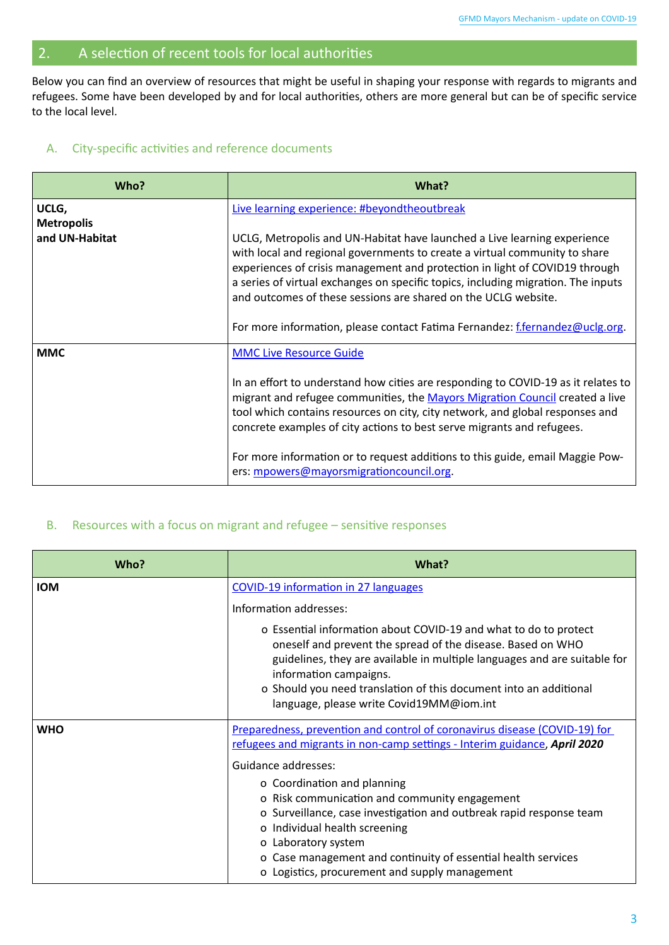## <span id="page-2-0"></span>2. A selection of recent tools for local authorities

Below you can find an overview of resources that might be useful in shaping your response with regards to migrants and refugees. Some have been developed by and for local authorities, others are more general but can be of specific service to the local level.

#### A. City-specific activities and reference documents

| Who?                       | What?                                                                                                                                                                                                                                                                                                                                                                                                                                                                        |
|----------------------------|------------------------------------------------------------------------------------------------------------------------------------------------------------------------------------------------------------------------------------------------------------------------------------------------------------------------------------------------------------------------------------------------------------------------------------------------------------------------------|
| UCLG,<br><b>Metropolis</b> | Live learning experience: #beyondtheoutbreak                                                                                                                                                                                                                                                                                                                                                                                                                                 |
| and UN-Habitat             | UCLG, Metropolis and UN-Habitat have launched a Live learning experience<br>with local and regional governments to create a virtual community to share<br>experiences of crisis management and protection in light of COVID19 through<br>a series of virtual exchanges on specific topics, including migration. The inputs<br>and outcomes of these sessions are shared on the UCLG website.<br>For more information, please contact Fatima Fernandez: f.fernandez@uclg.org. |
| <b>MMC</b>                 | <b>MMC Live Resource Guide</b><br>In an effort to understand how cities are responding to COVID-19 as it relates to<br>migrant and refugee communities, the Mayors Migration Council created a live<br>tool which contains resources on city, city network, and global responses and<br>concrete examples of city actions to best serve migrants and refugees.                                                                                                               |
|                            | For more information or to request additions to this guide, email Maggie Pow-<br>ers: mpowers@mayorsmigrationcouncil.org.                                                                                                                                                                                                                                                                                                                                                    |

## B. Resources with a focus on migrant and refugee – sensitive responses

| Who?       | What?                                                                                                                                                                                                                                                                                                                                                   |
|------------|---------------------------------------------------------------------------------------------------------------------------------------------------------------------------------------------------------------------------------------------------------------------------------------------------------------------------------------------------------|
| <b>IOM</b> | <b>COVID-19 information in 27 languages</b>                                                                                                                                                                                                                                                                                                             |
|            | Information addresses:                                                                                                                                                                                                                                                                                                                                  |
|            | o Essential information about COVID-19 and what to do to protect<br>oneself and prevent the spread of the disease. Based on WHO<br>guidelines, they are available in multiple languages and are suitable for<br>information campaigns.<br>o Should you need translation of this document into an additional<br>language, please write Covid19MM@iom.int |
| <b>WHO</b> | Preparedness, prevention and control of coronavirus disease (COVID-19) for<br>refugees and migrants in non-camp settings - Interim guidance, April 2020<br>Guidance addresses:                                                                                                                                                                          |
|            | o Coordination and planning<br>o Risk communication and community engagement<br>o Surveillance, case investigation and outbreak rapid response team<br>o Individual health screening<br>o Laboratory system<br>o Case management and continuity of essential health services<br>o Logistics, procurement and supply management                          |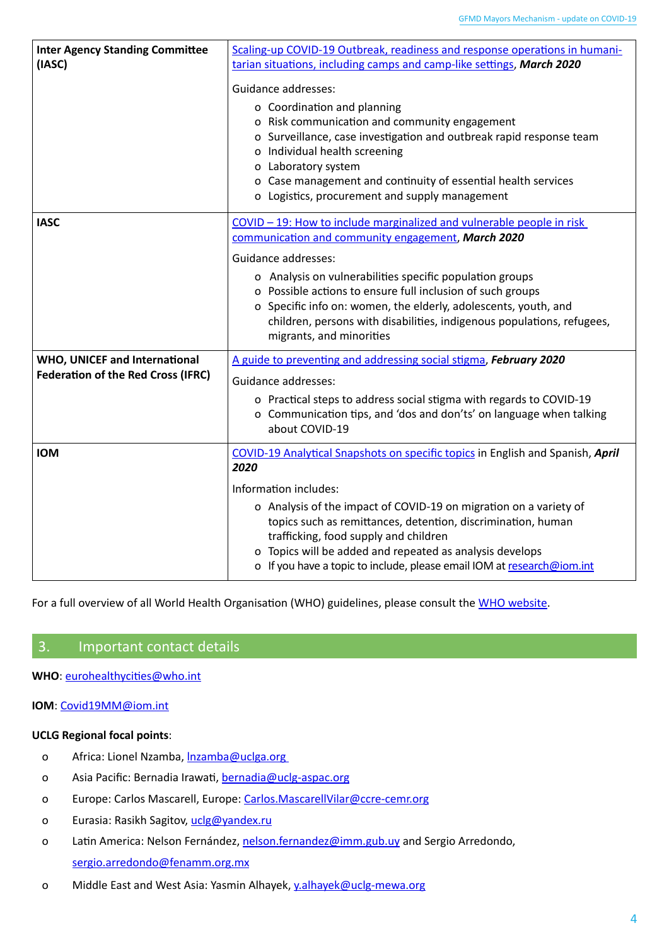| <b>Inter Agency Standing Committee</b><br>(IASC)                                  | Scaling-up COVID-19 Outbreak, readiness and response operations in humani-<br>tarian situations, including camps and camp-like settings, March 2020<br><b>Guidance addresses:</b><br>o Coordination and planning<br>o Risk communication and community engagement<br>o Surveillance, case investigation and outbreak rapid response team<br>o Individual health screening<br>o Laboratory system<br>o Case management and continuity of essential health services<br>o Logistics, procurement and supply management |
|-----------------------------------------------------------------------------------|---------------------------------------------------------------------------------------------------------------------------------------------------------------------------------------------------------------------------------------------------------------------------------------------------------------------------------------------------------------------------------------------------------------------------------------------------------------------------------------------------------------------|
| <b>IASC</b>                                                                       | COVID - 19: How to include marginalized and vulnerable people in risk<br>communication and community engagement, March 2020<br><b>Guidance addresses:</b><br>o Analysis on vulnerabilities specific population groups<br>o Possible actions to ensure full inclusion of such groups<br>o Specific info on: women, the elderly, adolescents, youth, and<br>children, persons with disabilities, indigenous populations, refugees,<br>migrants, and minorities                                                        |
| <b>WHO, UNICEF and International</b><br><b>Federation of the Red Cross (IFRC)</b> | A guide to preventing and addressing social stigma, February 2020<br>Guidance addresses:<br>o Practical steps to address social stigma with regards to COVID-19<br>o Communication tips, and 'dos and don'ts' on language when talking<br>about COVID-19                                                                                                                                                                                                                                                            |
| <b>IOM</b>                                                                        | COVID-19 Analytical Snapshots on specific topics in English and Spanish, April<br>2020<br>Information includes:<br>o Analysis of the impact of COVID-19 on migration on a variety of<br>topics such as remittances, detention, discrimination, human<br>trafficking, food supply and children<br>o Topics will be added and repeated as analysis develops<br>o If you have a topic to include, please email IOM at research@iom.int                                                                                 |

For a full overview of all World Health Organisation (WHO) guidelines, please consult the [WHO website](https://www.who.int/health-topics/coronavirus#tab=tab_1).

## <span id="page-3-0"></span>3. Important contact details

**WHO**: [eurohealthycities@who.int](mailto:eurohealthycities%40who.int?subject=)

#### **IOM**: [Covid19MM@iom.int](mailto:Covid19MM%40iom.int%20?subject=)

#### **UCLG Regional focal points**:

- o Africa: Lionel Nzamba, Inzamba@uclga.org
- o Asia Pacific: Bernadia Irawati, [bernadia@uclg-aspac.org](mailto:bernadia%40uclg-aspac.org?subject=)
- o Europe: Carlos Mascarell, Europe: [Carlos.MascarellVilar@ccre-cemr.org](mailto:Carlos.MascarellVilar%40ccre-cemr.org?subject=)
- o Eurasia: Rasikh Sagitov, [uclg@yandex.ru](mailto:uclg%40yandex.ru?subject=)
- o Latin America: Nelson Fernández, [nelson.fernandez@imm.gub.uy](mailto:nelson.fernandez%40imm.gub.uy?subject=) and Sergio Arredondo, [sergio.arredondo@fenamm.org.mx](mailto:sergio.arredondo%40fenamm.org.mx?subject=)
- o Middle East and West Asia: Yasmin Alhayek, [y.alhayek@uclg-mewa.org](mailto:%20y.alhayek%40uclg-mewa.org?subject=)